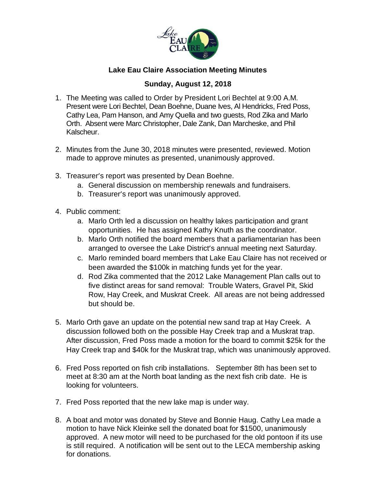

## **Lake Eau Claire Association Meeting Minutes**

## **Sunday, August 12, 2018**

- 1. The Meeting was called to Order by President Lori Bechtel at 9:00 A.M. Present were Lori Bechtel, Dean Boehne, Duane Ives, Al Hendricks, Fred Poss, Cathy Lea, Pam Hanson, and Amy Quella and two guests, Rod Zika and Marlo Orth. Absent were Marc Christopher, Dale Zank, Dan Marcheske, and Phil Kalscheur.
- 2. Minutes from the June 30, 2018 minutes were presented, reviewed. Motion made to approve minutes as presented, unanimously approved.
- 3. Treasurer's report was presented by Dean Boehne.
	- a. General discussion on membership renewals and fundraisers.
	- b. Treasurer's report was unanimously approved.
- 4. Public comment:
	- a. Marlo Orth led a discussion on healthy lakes participation and grant opportunities. He has assigned Kathy Knuth as the coordinator.
	- b. Marlo Orth notified the board members that a parliamentarian has been arranged to oversee the Lake District's annual meeting next Saturday.
	- c. Marlo reminded board members that Lake Eau Claire has not received or been awarded the \$100k in matching funds yet for the year.
	- d. Rod Zika commented that the 2012 Lake Management Plan calls out to five distinct areas for sand removal: Trouble Waters, Gravel Pit, Skid Row, Hay Creek, and Muskrat Creek. All areas are not being addressed but should be.
- 5. Marlo Orth gave an update on the potential new sand trap at Hay Creek. A discussion followed both on the possible Hay Creek trap and a Muskrat trap. After discussion, Fred Poss made a motion for the board to commit \$25k for the Hay Creek trap and \$40k for the Muskrat trap, which was unanimously approved.
- 6. Fred Poss reported on fish crib installations. September 8th has been set to meet at 8:30 am at the North boat landing as the next fish crib date. He is looking for volunteers.
- 7. Fred Poss reported that the new lake map is under way.
- 8. A boat and motor was donated by Steve and Bonnie Haug. Cathy Lea made a motion to have Nick Kleinke sell the donated boat for \$1500, unanimously approved. A new motor will need to be purchased for the old pontoon if its use is still required. A notification will be sent out to the LECA membership asking for donations.